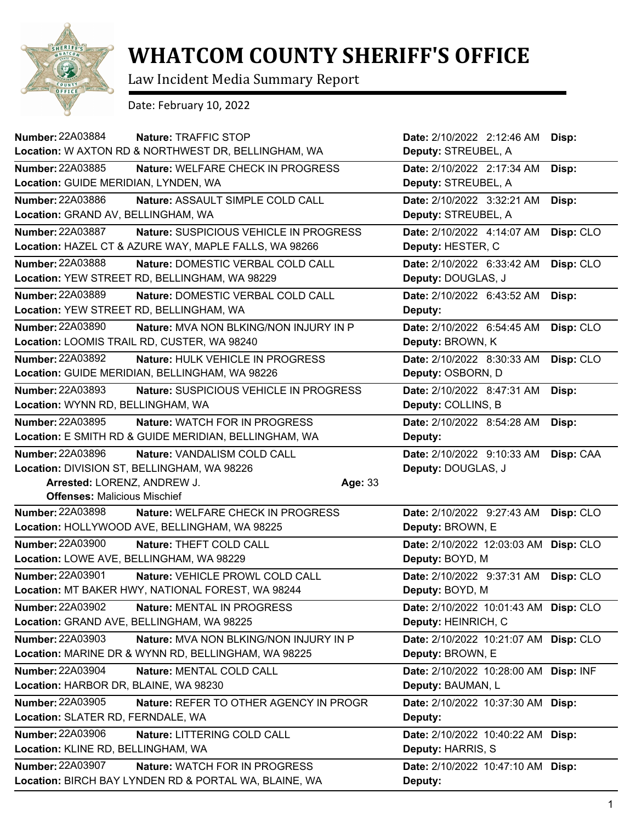

## **WHATCOM COUNTY SHERIFF'S OFFICE**

Law Incident Media Summary Report

Date: February 10, 2022

| Number: 22A03884<br>Nature: TRAFFIC STOP                          | Date: 2/10/2022 2:12:46 AM            | Disp:     |
|-------------------------------------------------------------------|---------------------------------------|-----------|
| Location: W AXTON RD & NORTHWEST DR, BELLINGHAM, WA               | Deputy: STREUBEL, A                   |           |
| Number: 22A03885<br><b>Nature: WELFARE CHECK IN PROGRESS</b>      | Date: 2/10/2022 2:17:34 AM            | Disp:     |
| Location: GUIDE MERIDIAN, LYNDEN, WA                              | Deputy: STREUBEL, A                   |           |
| <b>Number: 22A03886</b><br>Nature: ASSAULT SIMPLE COLD CALL       | Date: 2/10/2022 3:32:21 AM            | Disp:     |
| Location: GRAND AV, BELLINGHAM, WA                                | Deputy: STREUBEL, A                   |           |
| <b>Number: 22A03887</b><br>Nature: SUSPICIOUS VEHICLE IN PROGRESS | Date: 2/10/2022 4:14:07 AM            | Disp: CLO |
| Location: HAZEL CT & AZURE WAY, MAPLE FALLS, WA 98266             | Deputy: HESTER, C                     |           |
| Number: 22A03888<br>Nature: DOMESTIC VERBAL COLD CALL             | Date: 2/10/2022 6:33:42 AM            | Disp: CLO |
| Location: YEW STREET RD, BELLINGHAM, WA 98229                     | Deputy: DOUGLAS, J                    |           |
| Number: 22A03889<br>Nature: DOMESTIC VERBAL COLD CALL             | Date: 2/10/2022 6:43:52 AM            | Disp:     |
| Location: YEW STREET RD, BELLINGHAM, WA                           | Deputy:                               |           |
| Number: 22A03890<br><b>Nature: MVA NON BLKING/NON INJURY IN P</b> | Date: 2/10/2022 6:54:45 AM            | Disp: CLO |
| Location: LOOMIS TRAIL RD, CUSTER, WA 98240                       | Deputy: BROWN, K                      |           |
| Number: 22A03892<br>Nature: HULK VEHICLE IN PROGRESS              | Date: 2/10/2022 8:30:33 AM            | Disp: CLO |
| Location: GUIDE MERIDIAN, BELLINGHAM, WA 98226                    | Deputy: OSBORN, D                     |           |
| <b>Number: 22A03893</b><br>Nature: SUSPICIOUS VEHICLE IN PROGRESS | Date: 2/10/2022 8:47:31 AM            | Disp:     |
| Location: WYNN RD, BELLINGHAM, WA                                 | Deputy: COLLINS, B                    |           |
| Number: 22A03895<br>Nature: WATCH FOR IN PROGRESS                 | Date: 2/10/2022 8:54:28 AM            | Disp:     |
| Location: E SMITH RD & GUIDE MERIDIAN, BELLINGHAM, WA             | Deputy:                               |           |
| <b>Number: 22A03896</b><br>Nature: VANDALISM COLD CALL            | Date: 2/10/2022 9:10:33 AM            | Disp: CAA |
| Location: DIVISION ST, BELLINGHAM, WA 98226                       |                                       |           |
|                                                                   | Deputy: DOUGLAS, J                    |           |
| Arrested: LORENZ, ANDREW J.<br>Age: 33                            |                                       |           |
| <b>Offenses: Malicious Mischief</b>                               |                                       |           |
| <b>Number: 22A03898</b><br>Nature: WELFARE CHECK IN PROGRESS      | Date: 2/10/2022 9:27:43 AM            | Disp: CLO |
| Location: HOLLYWOOD AVE, BELLINGHAM, WA 98225                     | Deputy: BROWN, E                      |           |
| <b>Number: 22A03900</b><br>Nature: THEFT COLD CALL                | Date: 2/10/2022 12:03:03 AM Disp: CLO |           |
| Location: LOWE AVE, BELLINGHAM, WA 98229                          | Deputy: BOYD, M                       |           |
| Number: 22A03901<br>Nature: VEHICLE PROWL COLD CALL               | Date: 2/10/2022 9:37:31 AM            | Disp: CLO |
| Location: MT BAKER HWY, NATIONAL FOREST, WA 98244                 | Deputy: BOYD, M                       |           |
| Number: 22A03902<br>Nature: MENTAL IN PROGRESS                    | Date: 2/10/2022 10:01:43 AM Disp: CLO |           |
| Location: GRAND AVE, BELLINGHAM, WA 98225                         | Deputy: HEINRICH, C                   |           |
| <b>Number: 22A03903</b><br>Nature: MVA NON BLKING/NON INJURY IN P | Date: 2/10/2022 10:21:07 AM Disp: CLO |           |
| Location: MARINE DR & WYNN RD, BELLINGHAM, WA 98225               | Deputy: BROWN, E                      |           |
| <b>Number: 22A03904</b><br>Nature: MENTAL COLD CALL               | Date: 2/10/2022 10:28:00 AM           | Disp: INF |
| Location: HARBOR DR, BLAINE, WA 98230                             | Deputy: BAUMAN, L                     |           |
| Number: 22A03905<br>Nature: REFER TO OTHER AGENCY IN PROGR        | Date: 2/10/2022 10:37:30 AM Disp:     |           |
| Location: SLATER RD, FERNDALE, WA                                 | Deputy:                               |           |
| <b>Number: 22A03906</b><br>Nature: LITTERING COLD CALL            | Date: 2/10/2022 10:40:22 AM           | Disp:     |
| Location: KLINE RD, BELLINGHAM, WA                                | Deputy: HARRIS, S                     |           |
| Number: 22A03907<br><b>Nature: WATCH FOR IN PROGRESS</b>          | Date: 2/10/2022 10:47:10 AM Disp:     |           |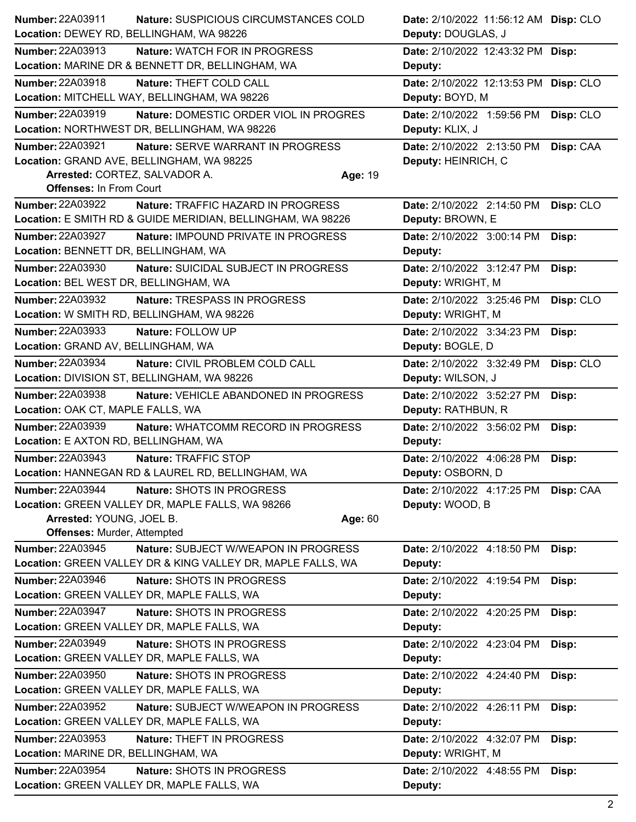| Number: 22A03911<br>Nature: SUSPICIOUS CIRCUMSTANCES COLD         | Date: 2/10/2022 11:56:12 AM Disp: CLO   |
|-------------------------------------------------------------------|-----------------------------------------|
| Location: DEWEY RD, BELLINGHAM, WA 98226                          | Deputy: DOUGLAS, J                      |
| <b>Number: 22A03913</b><br><b>Nature: WATCH FOR IN PROGRESS</b>   | Date: 2/10/2022 12:43:32 PM Disp:       |
| Location: MARINE DR & BENNETT DR, BELLINGHAM, WA                  | Deputy:                                 |
| Number: 22A03918<br>Nature: THEFT COLD CALL                       | Date: 2/10/2022 12:13:53 PM Disp: CLO   |
| Location: MITCHELL WAY, BELLINGHAM, WA 98226                      | Deputy: BOYD, M                         |
| <b>Number: 22A03919</b><br>Nature: DOMESTIC ORDER VIOL IN PROGRES | Date: 2/10/2022 1:59:56 PM<br>Disp: CLO |
| Location: NORTHWEST DR, BELLINGHAM, WA 98226                      | Deputy: KLIX, J                         |
| <b>Number: 22A03921</b><br>Nature: SERVE WARRANT IN PROGRESS      | Date: 2/10/2022 2:13:50 PM Disp: CAA    |
| Location: GRAND AVE, BELLINGHAM, WA 98225                         | Deputy: HEINRICH, C                     |
| Arrested: CORTEZ, SALVADOR A.<br>Age: 19                          |                                         |
| <b>Offenses: In From Court</b>                                    |                                         |
| <b>Number: 22A03922</b><br>Nature: TRAFFIC HAZARD IN PROGRESS     | Disp: CLO<br>Date: 2/10/2022 2:14:50 PM |
| Location: E SMITH RD & GUIDE MERIDIAN, BELLINGHAM, WA 98226       | Deputy: BROWN, E                        |
| <b>Number: 22A03927</b><br>Nature: IMPOUND PRIVATE IN PROGRESS    | Date: 2/10/2022 3:00:14 PM<br>Disp:     |
| Location: BENNETT DR, BELLINGHAM, WA                              | Deputy:                                 |
| Number: 22A03930<br>Nature: SUICIDAL SUBJECT IN PROGRESS          | Date: 2/10/2022 3:12:47 PM<br>Disp:     |
| Location: BEL WEST DR, BELLINGHAM, WA                             | Deputy: WRIGHT, M                       |
| <b>Number: 22A03932</b><br>Nature: TRESPASS IN PROGRESS           | Date: 2/10/2022 3:25:46 PM<br>Disp: CLO |
| Location: W SMITH RD, BELLINGHAM, WA 98226                        | Deputy: WRIGHT, M                       |
| <b>Number: 22A03933</b><br>Nature: FOLLOW UP                      | Date: 2/10/2022 3:34:23 PM<br>Disp:     |
| Location: GRAND AV, BELLINGHAM, WA                                | Deputy: BOGLE, D                        |
| <b>Number: 22A03934</b><br>Nature: CIVIL PROBLEM COLD CALL        | Date: 2/10/2022 3:32:49 PM<br>Disp: CLO |
| Location: DIVISION ST, BELLINGHAM, WA 98226                       | Deputy: WILSON, J                       |
| <b>Number: 22A03938</b><br>Nature: VEHICLE ABANDONED IN PROGRESS  | Date: 2/10/2022 3:52:27 PM<br>Disp:     |
| Location: OAK CT, MAPLE FALLS, WA                                 | Deputy: RATHBUN, R                      |
| Number: 22A03939<br>Nature: WHATCOMM RECORD IN PROGRESS           | Date: 2/10/2022 3:56:02 PM<br>Disp:     |
| Location: E AXTON RD, BELLINGHAM, WA                              | Deputy:                                 |
| Number: 22A03943<br>Nature: TRAFFIC STOP                          | Date: 2/10/2022 4:06:28 PM<br>Disp:     |
| Location: HANNEGAN RD & LAUREL RD, BELLINGHAM, WA                 | Deputy: OSBORN, D                       |
| Number: 22A03944<br>Nature: SHOTS IN PROGRESS                     | Date: 2/10/2022 4:17:25 PM Disp: CAA    |
| Location: GREEN VALLEY DR, MAPLE FALLS, WA 98266                  | Deputy: WOOD, B                         |
| Arrested: YOUNG, JOEL B.<br>Age: 60                               |                                         |
| <b>Offenses: Murder, Attempted</b>                                |                                         |
| <b>Number: 22A03945</b><br>Nature: SUBJECT W/WEAPON IN PROGRESS   | Date: 2/10/2022 4:18:50 PM<br>Disp:     |
| Location: GREEN VALLEY DR & KING VALLEY DR, MAPLE FALLS, WA       | Deputy:                                 |
| Number: 22A03946<br>Nature: SHOTS IN PROGRESS                     | Date: 2/10/2022 4:19:54 PM<br>Disp:     |
| Location: GREEN VALLEY DR, MAPLE FALLS, WA                        | Deputy:                                 |
| Number: 22A03947<br>Nature: SHOTS IN PROGRESS                     | Date: 2/10/2022 4:20:25 PM<br>Disp:     |
| Location: GREEN VALLEY DR, MAPLE FALLS, WA                        | Deputy:                                 |
| <b>Number: 22A03949</b><br>Nature: SHOTS IN PROGRESS              | Date: 2/10/2022 4:23:04 PM<br>Disp:     |
| Location: GREEN VALLEY DR, MAPLE FALLS, WA                        | Deputy:                                 |
| <b>Number: 22A03950</b><br>Nature: SHOTS IN PROGRESS              | Date: 2/10/2022 4:24:40 PM<br>Disp:     |
| Location: GREEN VALLEY DR, MAPLE FALLS, WA                        | Deputy:                                 |
| <b>Number: 22A03952</b><br>Nature: SUBJECT W/WEAPON IN PROGRESS   | Date: 2/10/2022 4:26:11 PM<br>Disp:     |
| Location: GREEN VALLEY DR, MAPLE FALLS, WA                        | Deputy:                                 |
| Number: 22A03953<br>Nature: THEFT IN PROGRESS                     | Date: 2/10/2022 4:32:07 PM<br>Disp:     |
| Location: MARINE DR, BELLINGHAM, WA                               | Deputy: WRIGHT, M                       |
| <b>Number: 22A03954</b><br>Nature: SHOTS IN PROGRESS              | Date: 2/10/2022 4:48:55 PM<br>Disp:     |
| Location: GREEN VALLEY DR, MAPLE FALLS, WA                        | Deputy:                                 |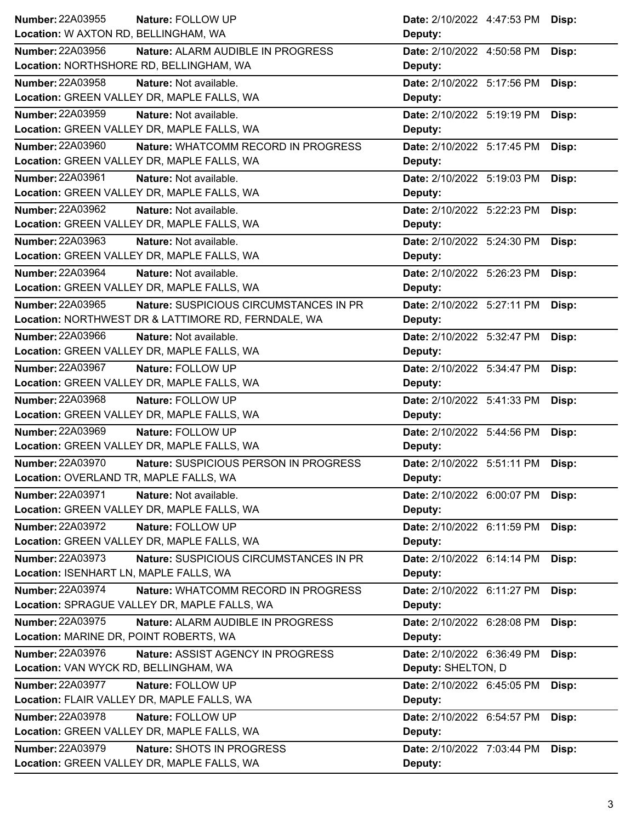| Number: 22A03955<br>Nature: FOLLOW UP                          | Date: 2/10/2022 4:47:53 PM<br>Disp: |
|----------------------------------------------------------------|-------------------------------------|
| Location: W AXTON RD, BELLINGHAM, WA                           | Deputy:                             |
| <b>Number: 22A03956</b><br>Nature: ALARM AUDIBLE IN PROGRESS   | Date: 2/10/2022 4:50:58 PM<br>Disp: |
| Location: NORTHSHORE RD, BELLINGHAM, WA                        | Deputy:                             |
| <b>Number: 22A03958</b><br>Nature: Not available.              | Date: 2/10/2022 5:17:56 PM<br>Disp: |
| Location: GREEN VALLEY DR, MAPLE FALLS, WA                     | Deputy:                             |
| Number: 22A03959<br>Nature: Not available.                     | Date: 2/10/2022 5:19:19 PM<br>Disp: |
| Location: GREEN VALLEY DR, MAPLE FALLS, WA                     | Deputy:                             |
| Number: 22A03960<br>Nature: WHATCOMM RECORD IN PROGRESS        | Date: 2/10/2022 5:17:45 PM<br>Disp: |
| Location: GREEN VALLEY DR, MAPLE FALLS, WA                     | Deputy:                             |
| Number: 22A03961<br>Nature: Not available.                     | Date: 2/10/2022 5:19:03 PM<br>Disp: |
| Location: GREEN VALLEY DR, MAPLE FALLS, WA                     | Deputy:                             |
| Number: 22A03962<br>Nature: Not available.                     | Date: 2/10/2022 5:22:23 PM<br>Disp: |
| Location: GREEN VALLEY DR, MAPLE FALLS, WA                     | Deputy:                             |
| Number: 22A03963<br>Nature: Not available.                     | Date: 2/10/2022 5:24:30 PM<br>Disp: |
| Location: GREEN VALLEY DR, MAPLE FALLS, WA                     | Deputy:                             |
| <b>Number: 22A03964</b><br>Nature: Not available.              | Date: 2/10/2022 5:26:23 PM<br>Disp: |
| Location: GREEN VALLEY DR, MAPLE FALLS, WA                     | Deputy:                             |
| Number: 22A03965<br>Nature: SUSPICIOUS CIRCUMSTANCES IN PR     | Date: 2/10/2022 5:27:11 PM<br>Disp: |
| Location: NORTHWEST DR & LATTIMORE RD, FERNDALE, WA            | Deputy:                             |
| <b>Number: 22A03966</b><br>Nature: Not available.              | Date: 2/10/2022 5:32:47 PM<br>Disp: |
| Location: GREEN VALLEY DR, MAPLE FALLS, WA                     | Deputy:                             |
| Number: 22A03967<br>Nature: FOLLOW UP                          | Date: 2/10/2022 5:34:47 PM<br>Disp: |
| Location: GREEN VALLEY DR, MAPLE FALLS, WA                     | Deputy:                             |
| <b>Number: 22A03968</b><br>Nature: FOLLOW UP                   | Date: 2/10/2022 5:41:33 PM<br>Disp: |
| Location: GREEN VALLEY DR, MAPLE FALLS, WA                     | Deputy:                             |
| Number: 22A03969<br>Nature: FOLLOW UP                          | Date: 2/10/2022 5:44:56 PM<br>Disp: |
| Location: GREEN VALLEY DR, MAPLE FALLS, WA                     | Deputy:                             |
| Number: 22A03970<br>Nature: SUSPICIOUS PERSON IN PROGRESS      | Date: 2/10/2022 5:51:11 PM Disp:    |
| Location: OVERLAND TR, MAPLE FALLS, WA                         | Deputy:                             |
| Number: 22A03971<br>Nature: Not available.                     | Date: 2/10/2022 6:00:07 PM<br>Disp: |
| Location: GREEN VALLEY DR, MAPLE FALLS, WA                     | Deputy:                             |
| Number: 22A03972<br>Nature: FOLLOW UP                          | Date: 2/10/2022 6:11:59 PM<br>Disp: |
| Location: GREEN VALLEY DR, MAPLE FALLS, WA                     | Deputy:                             |
| Number: 22A03973<br>Nature: SUSPICIOUS CIRCUMSTANCES IN PR     | Date: 2/10/2022 6:14:14 PM<br>Disp: |
| Location: ISENHART LN, MAPLE FALLS, WA                         | Deputy:                             |
| <b>Number: 22A03974</b><br>Nature: WHATCOMM RECORD IN PROGRESS | Date: 2/10/2022 6:11:27 PM<br>Disp: |
| Location: SPRAGUE VALLEY DR, MAPLE FALLS, WA                   | Deputy:                             |
| Number: 22A03975<br>Nature: ALARM AUDIBLE IN PROGRESS          | Date: 2/10/2022 6:28:08 PM<br>Disp: |
| Location: MARINE DR, POINT ROBERTS, WA                         | Deputy:                             |
| Number: 22A03976<br>Nature: ASSIST AGENCY IN PROGRESS          | Date: 2/10/2022 6:36:49 PM<br>Disp: |
| Location: VAN WYCK RD, BELLINGHAM, WA                          | Deputy: SHELTON, D                  |
| <b>Number: 22A03977</b><br>Nature: FOLLOW UP                   | Date: 2/10/2022 6:45:05 PM<br>Disp: |
| Location: FLAIR VALLEY DR, MAPLE FALLS, WA                     | Deputy:                             |
| <b>Number: 22A03978</b><br>Nature: FOLLOW UP                   | Date: 2/10/2022 6:54:57 PM<br>Disp: |
| Location: GREEN VALLEY DR, MAPLE FALLS, WA                     | Deputy:                             |
| Number: 22A03979<br>Nature: SHOTS IN PROGRESS                  | Date: 2/10/2022 7:03:44 PM<br>Disp: |
| Location: GREEN VALLEY DR, MAPLE FALLS, WA                     | Deputy:                             |